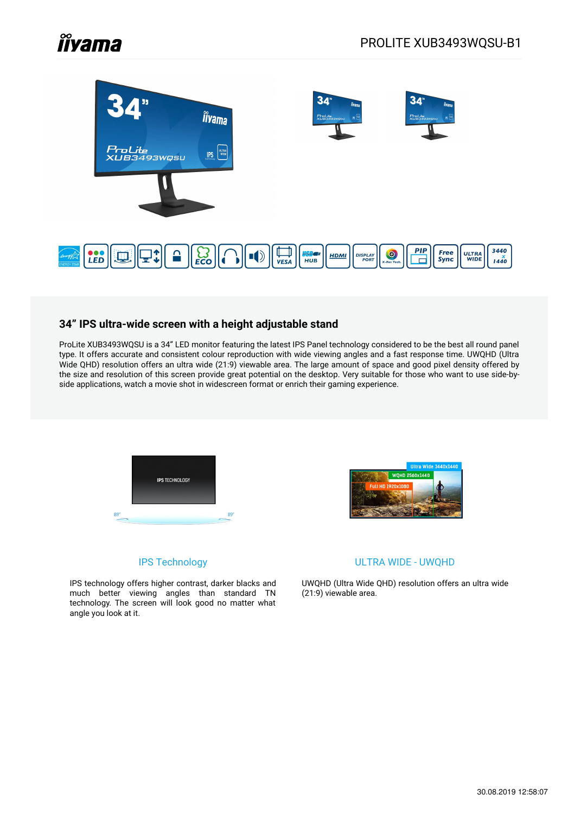# **Îlyama**



## **34" IPS ultra-wide screen with a height adjustable stand**

ProLite XUB3493WQSU is a 34" LED monitor featuring the latest IPS Panel technology considered to be the best all round panel type. It offers accurate and consistent colour reproduction with wide viewing angles and a fast response time. UWQHD (Ultra Wide QHD) resolution offers an ultra wide (21:9) viewable area. The large amount of space and good pixel density offered by the size and resolution of this screen provide great potential on the desktop. Very suitable for those who want to use side-byside applications, watch a movie shot in widescreen format or enrich their gaming experience.

![](_page_0_Picture_5.jpeg)

![](_page_0_Picture_6.jpeg)

### IPS Technology

IPS technology offers higher contrast, darker blacks and much better viewing angles than standard TN technology. The screen will look good no matter what angle you look at it.

#### ULTRA WIDE - UWQHD

UWQHD (Ultra Wide QHD) resolution offers an ultra wide (21:9) viewable area.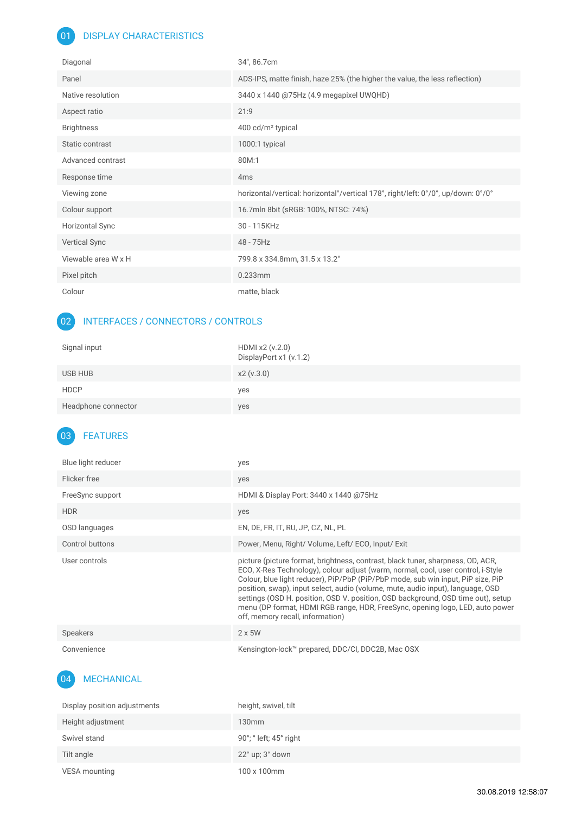# 01 **DISPLAY CHARACTERISTICS**

| Diagonal               | 34", 86.7cm                                                                       |
|------------------------|-----------------------------------------------------------------------------------|
| Panel                  | ADS-IPS, matte finish, haze 25% (the higher the value, the less reflection)       |
| Native resolution      | 3440 x 1440 @75Hz (4.9 megapixel UWQHD)                                           |
| Aspect ratio           | 21:9                                                                              |
| <b>Brightness</b>      | 400 cd/m <sup>2</sup> typical                                                     |
| Static contrast        | 1000:1 typical                                                                    |
| Advanced contrast      | 80M:1                                                                             |
| Response time          | 4 <sub>ms</sub>                                                                   |
| Viewing zone           | horizontal/vertical: horizontal°/vertical 178°, right/left: 0°/0°, up/down: 0°/0° |
| Colour support         | 16.7mln 8bit (sRGB: 100%, NTSC: 74%)                                              |
| <b>Horizontal Sync</b> | 30 - 115KHz                                                                       |
| <b>Vertical Sync</b>   | 48 - 75Hz                                                                         |
| Viewable area W x H    | 799.8 x 334.8mm, 31.5 x 13.2"                                                     |
| Pixel pitch            | $0.233$ mm                                                                        |
| Colour                 | matte, black                                                                      |

# 02 INTERFACES / CONNECTORS / CONTROLS

| Signal input        | HDMI x2 (v.2.0)<br>DisplayPort x1 (v.1.2) |
|---------------------|-------------------------------------------|
| USB HUB             | x2 (v.3.0)                                |
| <b>HDCP</b>         | yes                                       |
| Headphone connector | yes                                       |

# 03 FEATURES

| Blue light reducer | ves                                                                                                                                                                                                                                                                                                                                                                                                                                                                                                                                                 |
|--------------------|-----------------------------------------------------------------------------------------------------------------------------------------------------------------------------------------------------------------------------------------------------------------------------------------------------------------------------------------------------------------------------------------------------------------------------------------------------------------------------------------------------------------------------------------------------|
| Flicker free       | yes                                                                                                                                                                                                                                                                                                                                                                                                                                                                                                                                                 |
| FreeSync support   | HDMI & Display Port: 3440 x 1440 @75Hz                                                                                                                                                                                                                                                                                                                                                                                                                                                                                                              |
| <b>HDR</b>         | yes                                                                                                                                                                                                                                                                                                                                                                                                                                                                                                                                                 |
| OSD languages      | EN, DE, FR, IT, RU, JP, CZ, NL, PL                                                                                                                                                                                                                                                                                                                                                                                                                                                                                                                  |
| Control buttons    | Power, Menu, Right/Volume, Left/ECO, Input/Exit                                                                                                                                                                                                                                                                                                                                                                                                                                                                                                     |
| User controls      | picture (picture format, brightness, contrast, black tuner, sharpness, OD, ACR,<br>ECO, X-Res Technology), colour adjust (warm, normal, cool, user control, i-Style<br>Colour, blue light reducer), PiP/PbP (PiP/PbP mode, sub win input, PiP size, PiP<br>position, swap), input select, audio (volume, mute, audio input), language, OSD<br>settings (OSD H. position, OSD V. position, OSD background, OSD time out), setup<br>menu (DP format, HDMI RGB range, HDR, FreeSync, opening logo, LED, auto power<br>off, memory recall, information) |
| Speakers           | $2 \times 5W$                                                                                                                                                                                                                                                                                                                                                                                                                                                                                                                                       |
| Convenience        | Kensington-lock™ prepared, DDC/CI, DDC2B, Mac OSX                                                                                                                                                                                                                                                                                                                                                                                                                                                                                                   |

#### 04 MECHANICAL

| Display position adjustments | height, swivel, tilt                      |
|------------------------------|-------------------------------------------|
| Height adjustment            | 130mm                                     |
| Swivel stand                 | 90°; $^{\circ}$ left; 45 $^{\circ}$ right |
| Tilt angle                   | $22^{\circ}$ up; $3^{\circ}$ down         |
| VESA mounting                | 100 x 100mm                               |